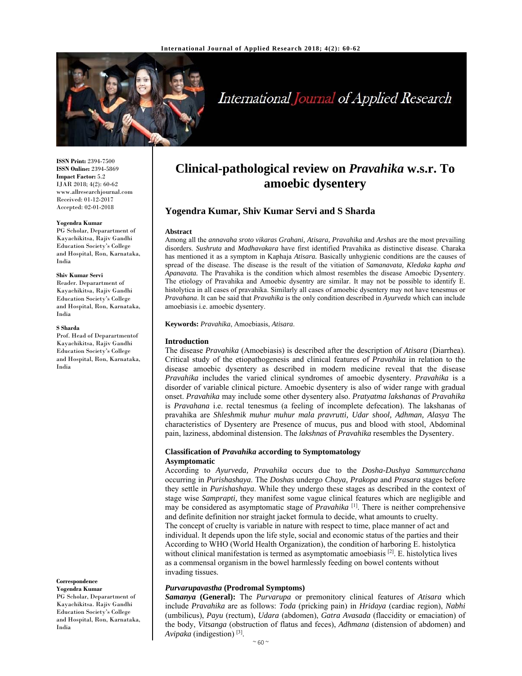

# International Journal of Applied Research

**ISSN Print:** 2394-7500 **ISSN Online:** 2394-5869 **Impact Factor:** 5.2 IJAR 2018; 4(2): 60-62 www.allresearchjournal.com Received: 01-12-2017 Accepted: 02-01-2018

#### **Yogendra Kumar**

PG Scholar, Deparartment of Kayachikitsa, Rajiv Gandhi Education Society's College and Hospital, Ron, Karnataka, India

#### **Shiv Kumar Servi**

Reader. Deparartment of Kayachikitsa, Rajiv Gandhi Education Society's College and Hospital, Ron, Karnataka, India

#### **S Sharda**

Prof. Head of Deparartmentof Kayachikitsa, Rajiv Gandhi Education Society's College and Hospital, Ron, Karnataka, India

**Correspondence**

**Yogendra Kumar**  PG Scholar, Deparartment of Kayachikitsa. Rajiv Gandhi Education Society's College and Hospital, Ron, Karnataka, India

# **Clinical-pathological review on** *Pravahika* **w.s.r. To amoebic dysentery**

# **Yogendra Kumar, Shiv Kumar Servi and S Sharda**

#### **Abstract**

Among all the *annavaha sroto vikaras Grahani, Atisara, Pravahika* and *Arshas* are the most prevailing disorders. *Sushruta* and *Madhavakara* have first identified Pravahika as distinctive disease. Charaka has mentioned it as a symptom in Kaphaja *Atisara.* Basically unhygienic conditions are the causes of spread of the disease. The disease is the result of the vitiation of *Samanavata, Kledaka kapha and Apanavata.* The Pravahika is the condition which almost resembles the disease Amoebic Dysentery. The etiology of Pravahika and Amoebic dysentry are similar. It may not be possible to identify E. histolytica in all cases of pravahika. Similarly all cases of amoebic dysentery may not have tenesmus or *Pravahana*. It can be said that *Pravahika* is the only condition described in *Ayurveda* which can include amoebiasis i.e. amoebic dysentery.

#### **Keywords:** *Pravahika*, Amoebiasis, *Atisara*.

#### **Introduction**

The disease *Pravahika* (Amoebiasis) is described after the description of *Atisara* (Diarrhea). Critical study of the etiopathogenesis and clinical features of *Pravahika* in relation to the disease amoebic dysentery as described in modern medicine reveal that the disease *Pravahika* includes the varied clinical syndromes of amoebic dysentery. *Pravahika* is a disorder of variable clinical picture. Amoebic dysentery is also of wider range with gradual onset. *Pravahika* may include some other dysentery also. *Pratyatma lakshanas* of *Pravahika*  is *Pravahana* i.e. rectal tenesmus (a feeling of incomplete defecation). The lakshanas of pravahika are *Shleshmik muhur muhur mala pravrutti, Udar shool, Adhman, Alasya* The characteristics of Dysentery are Presence of mucus, pus and blood with stool, Abdominal pain, laziness, abdominal distension. The *lakshnas* of *Pravahika* resembles the Dysentery.

### **Classification of** *Pravahika* **according to Symptomatology Asymptomatic**

According to *Ayurveda, Pravahika* occurs due to the *Dosha-Dushya Sammurcchana*  occurring in *Purishashaya*. The *Doshas* undergo *Chaya, Prakopa* and *Prasara* stages before they settle in *Purishashaya*. While they undergo these stages as described in the context of stage wise *Samprapti,* they manifest some vague clinical features which are negligible and may be considered as asymptomatic stage of *Pravahika* [1]. There is neither comprehensive and definite definition nor straight jacket formula to decide, what amounts to cruelty. The concept of cruelty is variable in nature with respect to time, place manner of act and individual. It depends upon the life style, social and economic status of the parties and their According to WHO (World Health Organization), the condition of harboring E. histolytica without clinical manifestation is termed as asymptomatic amoebiasis [2]. E. histolytica lives as a commensal organism in the bowel harmlessly feeding on bowel contents without invading tissues.

### *Purvarupavastha* **(Prodromal Symptoms)**

*Samanya* **(General):** The *Purvarupa* or premonitory clinical features of *Atisara* which include *Pravahika* are as follows: *Toda* (pricking pain) in *Hridaya* (cardiac region), *Nabhi*  (umbilicus), *Payu* (rectum), *Udara* (abdomen), *Gatra Avasada* (flaccidity or emaciation) of the body, *Vitsanga* (obstruction of flatus and feces), *Adhmana* (distension of abdomen) and *Avipaka* (indigestion) [3].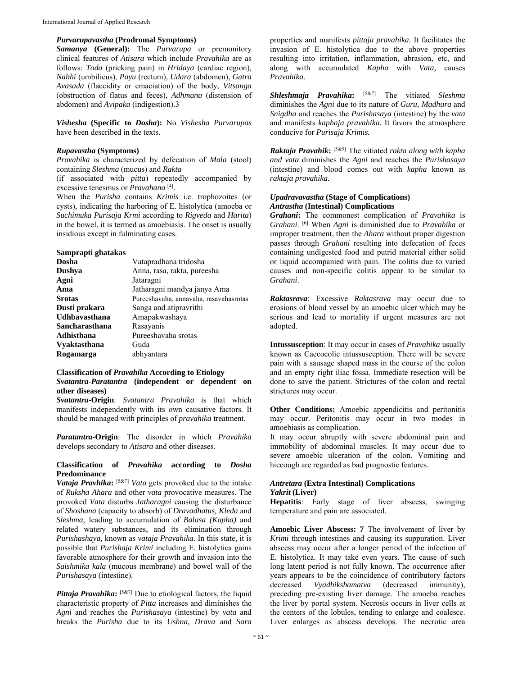### *Purvarupavastha* **(Prodromal Symptoms)**

*Samanya* **(General):** The *Purvarupa* or premonitory clinical features of *Atisara* which include *Pravahika* are as follows: *Toda* (pricking pain) in *Hridaya* (cardiac region), *Nabhi* (umbilicus), *Payu* (rectum), *Udara* (abdomen), *Gatra Avasada* (flaccidity or emaciation) of the body, *Vitsanga*  (obstruction of flatus and feces), *Adhmana* (distension of abdomen) and *Avipaka* (indigestion).3

*Vishesha* **(Specific to** *Dosha***):** No *Vishesha Purvarupas*  have been described in the texts.

#### *Rupavastha* **(Symptoms)**

*Pravahika* is characterized by defecation of *Mala* (stool) containing *Sleshma* (mucus) and *Rakta* 

(if associated with *pitta*) repeatedly accompanied by excessive tenesmus or *Pravahana* [4]*.* 

When the *Purisha* contains *Krimis* i.e. trophozoites (or cysts), indicating the harboring of E. histolytica (amoeba or *Suchimuka Purisaja Krmi* according to *Rigveda* and *Harita*) in the bowel, it is termed as amoebiasis. The onset is usually insidious except in fulminating cases.

#### **Samprapti ghatakas**

| Dosha                | Vatapradhana tridosha                  |
|----------------------|----------------------------------------|
| Dushya               | Anna, rasa, rakta, pureesha            |
| Agni                 | Jataragni                              |
| Ama                  | Jatharagni mandya janya Ama            |
| <b>Srotas</b>        | Pureeshavaha, annavaha, rasavahasrotas |
| Dusti prakara        | Sanga and atipravrithi                 |
| <b>Udhbayasthana</b> | Amapakwashaya                          |
| Sancharasthana       | Rasayanis                              |
| Adhisthana           | Pureeshavaha srotas                    |
| <b>Vyaktasthana</b>  | Guda                                   |
| Rogamarga            | abhyantara                             |
|                      |                                        |

### **Classification of** *Pravahika* **According to Etiology**  *Svatantra-Paratantra* **(independent or dependent on other diseases)**

*Svatantra-***Origin**: *Svatantra Pravahika* is that which manifests independently with its own causative factors. It should be managed with principles of *pravahika* treatment.

*Paratantra-***Origin**: The disorder in which *Pravahika*  develops secondary to *Atisara* and other diseases.

# **Classification of** *Pravahika* **according to** *Dosha*  **Predominance**

*Vataja Pravhika***:** [5&7] *Vata* gets provoked due to the intake of *Ruksha Ahara* and other *vata* provocative measures. The provoked *Vata* disturbs *Jatharagni* causing the disturbance of *Shoshana* (capacity to absorb) of *Dravadhatus, Kleda* and *Sleshma,* leading to accumulation of *Balasa (Kapha)* and related watery substances, and its elimination through *Purishashaya,* known as *vataja Pravahika*. In this state, it is possible that *Purishaja Krimi* including E. histolytica gains favorable atmosphere for their growth and invasion into the *Saishmika kala* (mucous membrane) and bowel wall of the *Purishasaya* (intestine).

*Pittaja Pravahika*: [5&7] Due to etiological factors, the liquid characteristic property of *Pitta* increases and diminishes the *Agni* and reaches the *Purishasaya* (intestine) by *vata* and breaks the *Purisha* due to its *Ushna, Drava* and *Sara* 

properties and manifests *pittaja pravahika.* It facilitates the invasion of E. histolytica due to the above properties resulting into irritation, inflammation, abrasion, etc, and along with accumulated *Kapha* with *Vata,* causes *Pravahika.* 

*Shleshmaja Pravahika***:** [5&7] The vitiated *Sleshma*  diminishes the *Agni* due to its nature of *Guru, Madhura* and *Snigdha* and reaches the *Purishasaya* (intestine) by the *vata*  and manifests *kaphaja pravahika.* It favors the atmosphere conducive for *Purisaja Krimis.* 

*Raktaja Pravahik***:** [5&9] The vitiated *rakta along with kapha and vata* diminishes the *Agni* and reaches the *Purishasaya*  (intestine) and blood comes out with *kapha* known as *raktaja pravahika.* 

# *Upadravavastha* **(Stage of Complications)**  *Antrastha* **(Intestinal) Complications**

*Grahani***:** The commonest complication of *Pravahika* is *Grahani*. [6] When *Agni* is diminished due to *Pravahika* or improper treatment, then the *Ahara* without proper digestion passes through *Grahani* resulting into defecation of feces containing undigested food and putrid material either solid or liquid accompanied with pain. The colitis due to varied causes and non-specific colitis appear to be similar to *Grahani*.

*Raktasrava*: Excessive *Raktasrava* may occur due to erosions of blood vessel by an amoebic ulcer which may be serious and lead to mortality if urgent measures are not adopted.

**Intussusception**: It may occur in cases of *Pravahika* usually known as Caecocolic intussusception. There will be severe pain with a sausage shaped mass in the course of the colon and an empty right iliac fossa. Immediate resection will be done to save the patient. Strictures of the colon and rectal strictures may occur.

**Other Conditions:** Amoebic appendicitis and peritonitis may occur. Peritonitis may occur in two modes in amoebiasis as complication.

It may occur abruptly with severe abdominal pain and immobility of abdominal muscles. It may occur due to severe amoebic ulceration of the colon. Vomiting and hiccough are regarded as bad prognostic features.

# *Antretara* **(Extra Intestinal) Complications**  *Yakrit* **(Liver)**

**Hepatitis**: Early stage of liver abscess, swinging temperature and pain are associated.

**Amoebic Liver Abscess: 7** The involvement of liver by *Krimi* through intestines and causing its suppuration. Liver abscess may occur after a longer period of the infection of E. histolytica. It may take even years. The cause of such long latent period is not fully known. The occurrence after years appears to be the coincidence of contributory factors decreased *Vyadhikshamatva* (decreased immunity), preceding pre-existing liver damage. The amoeba reaches the liver by portal system. Necrosis occurs in liver cells at the centers of the lobules, tending to enlarge and coalesce. Liver enlarges as abscess develops. The necrotic area